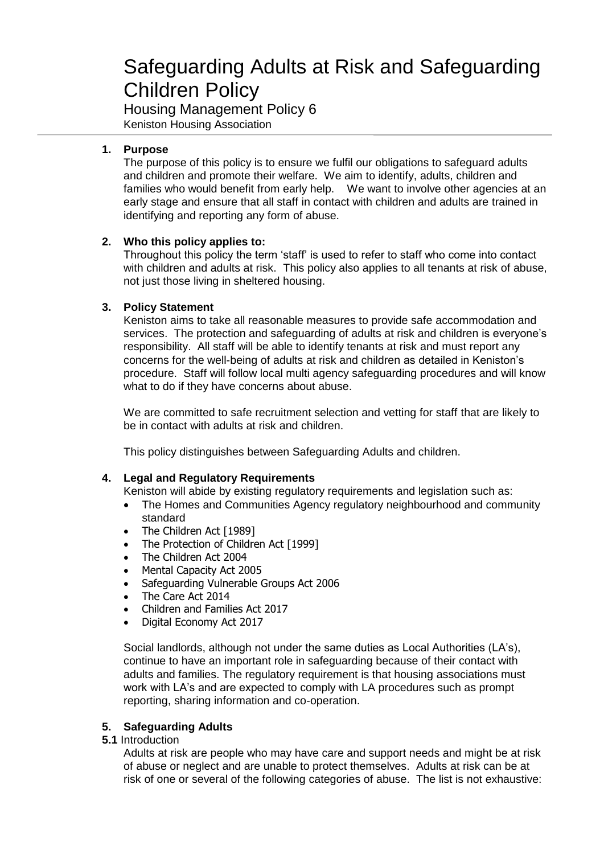# Safeguarding Adults at Risk and Safeguarding Children Policy

Housing Management Policy 6 Keniston Housing Association

# **1. Purpose**

The purpose of this policy is to ensure we fulfil our obligations to safeguard adults and children and promote their welfare. We aim to identify, adults, children and families who would benefit from early help. We want to involve other agencies at an early stage and ensure that all staff in contact with children and adults are trained in identifying and reporting any form of abuse.

# **2. Who this policy applies to:**

Throughout this policy the term 'staff' is used to refer to staff who come into contact with children and adults at risk. This policy also applies to all tenants at risk of abuse, not just those living in sheltered housing.

# **3. Policy Statement**

Keniston aims to take all reasonable measures to provide safe accommodation and services. The protection and safeguarding of adults at risk and children is everyone's responsibility. All staff will be able to identify tenants at risk and must report any concerns for the well-being of adults at risk and children as detailed in Keniston's procedure. Staff will follow local multi agency safeguarding procedures and will know what to do if they have concerns about abuse.

We are committed to safe recruitment selection and vetting for staff that are likely to be in contact with adults at risk and children.

This policy distinguishes between Safeguarding Adults and children.

# **4. Legal and Regulatory Requirements**

Keniston will abide by existing regulatory requirements and legislation such as:

- The Homes and Communities Agency regulatory neighbourhood and community standard
- The Children Act [1989]
- The Protection of Children Act [1999]
- The Children Act 2004
- Mental Capacity Act 2005
- Safeguarding Vulnerable Groups Act 2006
- The Care Act 2014
- Children and Families Act 2017
- Digital Economy Act 2017

Social landlords, although not under the same duties as Local Authorities (LA's), continue to have an important role in safeguarding because of their contact with adults and families. The regulatory requirement is that housing associations must work with LA's and are expected to comply with LA procedures such as prompt reporting, sharing information and co-operation.

# **5. Safeguarding Adults**

**5.1** Introduction

Adults at risk are people who may have care and support needs and might be at risk of abuse or neglect and are unable to protect themselves. Adults at risk can be at risk of one or several of the following categories of abuse. The list is not exhaustive: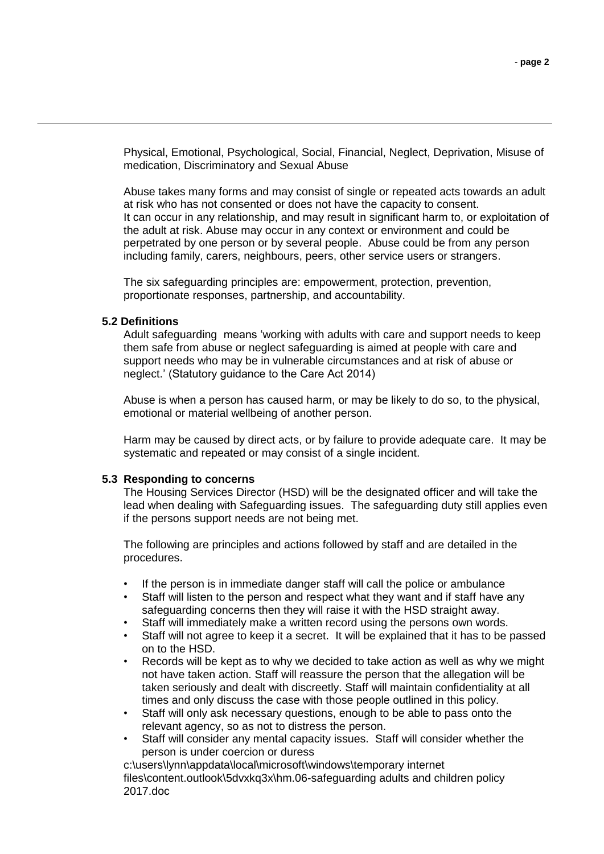Physical, Emotional, Psychological, Social, Financial, Neglect, Deprivation, Misuse of medication, Discriminatory and Sexual Abuse

Abuse takes many forms and may consist of single or repeated acts towards an adult at risk who has not consented or does not have the capacity to consent. It can occur in any relationship, and may result in significant harm to, or exploitation of the adult at risk. Abuse may occur in any context or environment and could be perpetrated by one person or by several people. Abuse could be from any person including family, carers, neighbours, peers, other service users or strangers.

The six safeguarding principles are: empowerment, protection, prevention, proportionate responses, partnership, and accountability.

#### **5.2 Definitions**

Adult safeguarding means 'working with adults with care and support needs to keep them safe from abuse or neglect safeguarding is aimed at people with care and support needs who may be in vulnerable circumstances and at risk of abuse or neglect.' (Statutory guidance to the Care Act 2014)

Abuse is when a person has caused harm, or may be likely to do so, to the physical, emotional or material wellbeing of another person.

Harm may be caused by direct acts, or by failure to provide adequate care. It may be systematic and repeated or may consist of a single incident.

#### **5.3 Responding to concerns**

The Housing Services Director (HSD) will be the designated officer and will take the lead when dealing with Safeguarding issues. The safeguarding duty still applies even if the persons support needs are not being met.

The following are principles and actions followed by staff and are detailed in the procedures.

- If the person is in immediate danger staff will call the police or ambulance
- Staff will listen to the person and respect what they want and if staff have any safeguarding concerns then they will raise it with the HSD straight away.
- Staff will immediately make a written record using the persons own words.
- Staff will not agree to keep it a secret. It will be explained that it has to be passed on to the HSD.
- Records will be kept as to why we decided to take action as well as why we might not have taken action. Staff will reassure the person that the allegation will be taken seriously and dealt with discreetly. Staff will maintain confidentiality at all times and only discuss the case with those people outlined in this policy.
- Staff will only ask necessary questions, enough to be able to pass onto the relevant agency, so as not to distress the person.
- Staff will consider any mental capacity issues. Staff will consider whether the person is under coercion or duress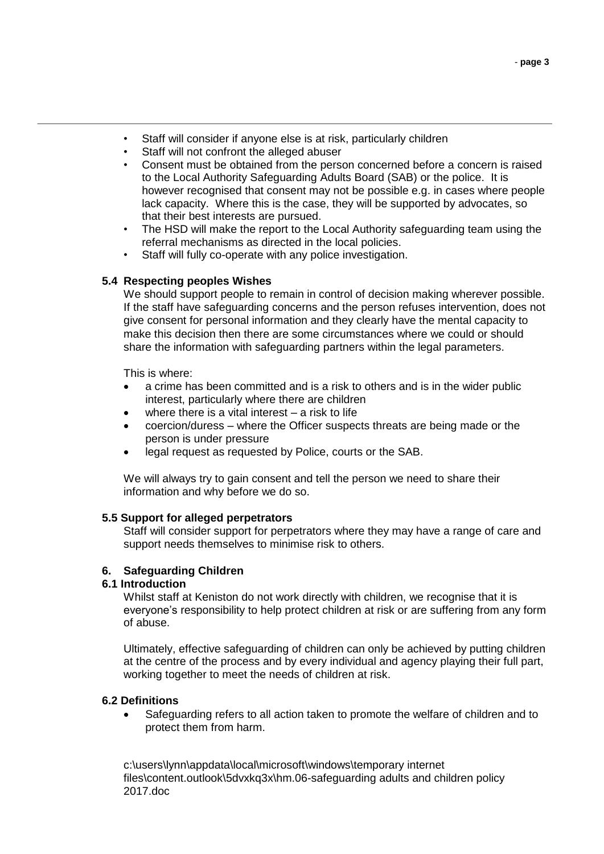- Staff will consider if anyone else is at risk, particularly children
- Staff will not confront the alleged abuser
- Consent must be obtained from the person concerned before a concern is raised to the Local Authority Safeguarding Adults Board (SAB) or the police. It is however recognised that consent may not be possible e.g. in cases where people lack capacity. Where this is the case, they will be supported by advocates, so that their best interests are pursued.
- The HSD will make the report to the Local Authority safeguarding team using the referral mechanisms as directed in the local policies.
- Staff will fully co-operate with any police investigation.

#### **5.4 Respecting peoples Wishes**

We should support people to remain in control of decision making wherever possible. If the staff have safeguarding concerns and the person refuses intervention, does not give consent for personal information and they clearly have the mental capacity to make this decision then there are some circumstances where we could or should share the information with safeguarding partners within the legal parameters.

This is where:

- a crime has been committed and is a risk to others and is in the wider public interest, particularly where there are children
- where there is a vital interest a risk to life
- coercion/duress where the Officer suspects threats are being made or the person is under pressure
- legal request as requested by Police, courts or the SAB.

We will always try to gain consent and tell the person we need to share their information and why before we do so.

#### **5.5 Support for alleged perpetrators**

Staff will consider support for perpetrators where they may have a range of care and support needs themselves to minimise risk to others.

## **6. Safeguarding Children**

#### **6.1 Introduction**

Whilst staff at Keniston do not work directly with children, we recognise that it is everyone's responsibility to help protect children at risk or are suffering from any form of abuse.

Ultimately, effective safeguarding of children can only be achieved by putting children at the centre of the process and by every individual and agency playing their full part, working together to meet the needs of children at risk.

## **6.2 Definitions**

 Safeguarding refers to all action taken to promote the welfare of children and to protect them from harm.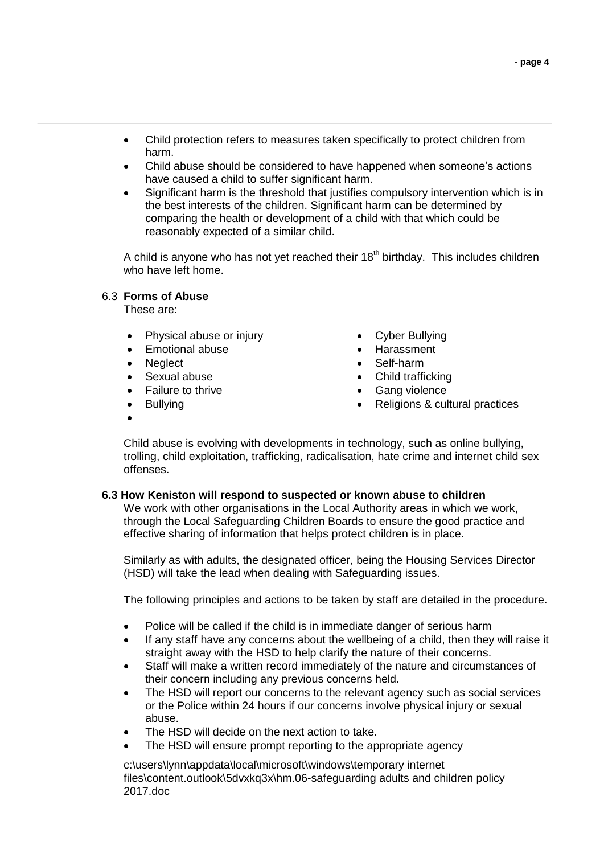- Child protection refers to measures taken specifically to protect children from harm.
- Child abuse should be considered to have happened when someone's actions have caused a child to suffer significant harm.
- Significant harm is the threshold that justifies compulsory intervention which is in the best interests of the children. Significant harm can be determined by comparing the health or development of a child with that which could be reasonably expected of a similar child.

A child is anyone who has not yet reached their  $18<sup>th</sup>$  birthday. This includes children who have left home.

## 6.3 **Forms of Abuse**

These are:

- Physical abuse or injury
- Emotional abuse
- Neglect
- Sexual abuse
- Failure to thrive
- Bullying
- $\bullet$
- Cyber Bullying
- Harassment
- Self-harm
- Child trafficking
- Gang violence
- Religions & cultural practices

Child abuse is evolving with developments in technology, such as online bullying, trolling, child exploitation, trafficking, radicalisation, hate crime and internet child sex offenses.

#### **6.3 How Keniston will respond to suspected or known abuse to children**

We work with other organisations in the Local Authority areas in which we work, through the Local Safeguarding Children Boards to ensure the good practice and effective sharing of information that helps protect children is in place.

Similarly as with adults, the designated officer, being the Housing Services Director (HSD) will take the lead when dealing with Safeguarding issues.

The following principles and actions to be taken by staff are detailed in the procedure.

- Police will be called if the child is in immediate danger of serious harm
- If any staff have any concerns about the wellbeing of a child, then they will raise it straight away with the HSD to help clarify the nature of their concerns.
- Staff will make a written record immediately of the nature and circumstances of their concern including any previous concerns held.
- The HSD will report our concerns to the relevant agency such as social services or the Police within 24 hours if our concerns involve physical injury or sexual abuse.
- The HSD will decide on the next action to take.
- The HSD will ensure prompt reporting to the appropriate agency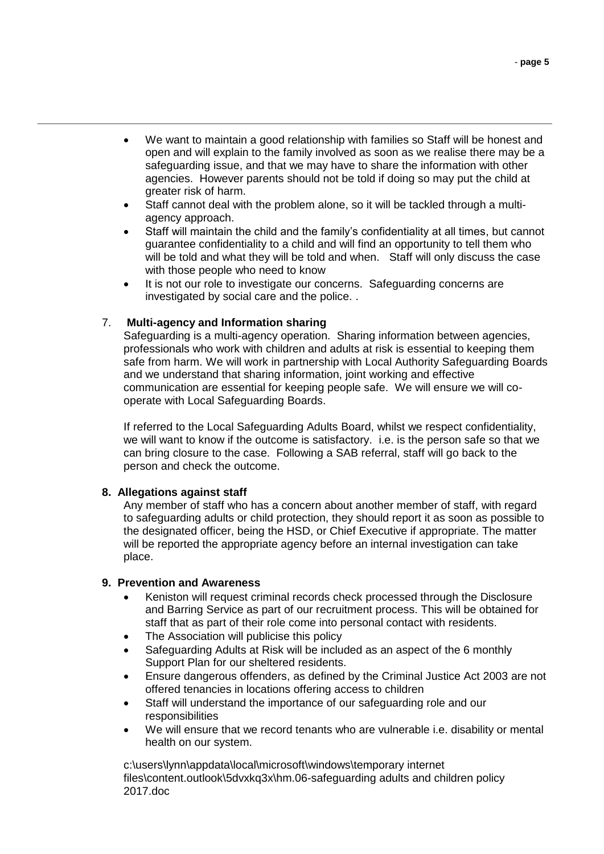- We want to maintain a good relationship with families so Staff will be honest and open and will explain to the family involved as soon as we realise there may be a safeguarding issue, and that we may have to share the information with other agencies. However parents should not be told if doing so may put the child at greater risk of harm.
- Staff cannot deal with the problem alone, so it will be tackled through a multiagency approach.
- Staff will maintain the child and the family's confidentiality at all times, but cannot guarantee confidentiality to a child and will find an opportunity to tell them who will be told and what they will be told and when. Staff will only discuss the case with those people who need to know
- It is not our role to investigate our concerns. Safeguarding concerns are investigated by social care and the police. .

## 7. **Multi-agency and Information sharing**

Safeguarding is a multi-agency operation. Sharing information between agencies, professionals who work with children and adults at risk is essential to keeping them safe from harm. We will work in partnership with Local Authority Safeguarding Boards and we understand that sharing information, joint working and effective communication are essential for keeping people safe. We will ensure we will cooperate with Local Safeguarding Boards.

If referred to the Local Safeguarding Adults Board, whilst we respect confidentiality, we will want to know if the outcome is satisfactory. i.e. is the person safe so that we can bring closure to the case. Following a SAB referral, staff will go back to the person and check the outcome.

## **8. Allegations against staff**

Any member of staff who has a concern about another member of staff, with regard to safeguarding adults or child protection, they should report it as soon as possible to the designated officer, being the HSD, or Chief Executive if appropriate. The matter will be reported the appropriate agency before an internal investigation can take place.

## **9. Prevention and Awareness**

- Keniston will request criminal records check processed through the Disclosure and Barring Service as part of our recruitment process. This will be obtained for staff that as part of their role come into personal contact with residents.
- The Association will publicise this policy
- Safeguarding Adults at Risk will be included as an aspect of the 6 monthly Support Plan for our sheltered residents.
- Ensure dangerous offenders, as defined by the Criminal Justice Act 2003 are not offered tenancies in locations offering access to children
- Staff will understand the importance of our safeguarding role and our responsibilities
- We will ensure that we record tenants who are vulnerable i.e. disability or mental health on our system.